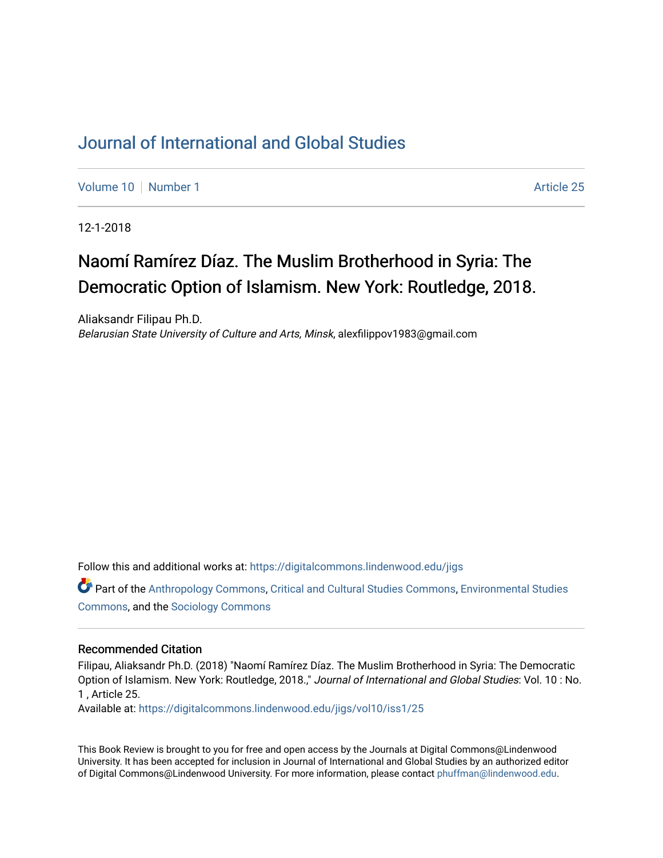## [Journal of International and Global Studies](https://digitalcommons.lindenwood.edu/jigs)

[Volume 10](https://digitalcommons.lindenwood.edu/jigs/vol10) [Number 1](https://digitalcommons.lindenwood.edu/jigs/vol10/iss1) Article 25

12-1-2018

## Naomí Ramírez Díaz. The Muslim Brotherhood in Syria: The Democratic Option of Islamism. New York: Routledge, 2018.

Aliaksandr Filipau Ph.D. Belarusian State University of Culture and Arts, Minsk, alexfilippov1983@gmail.com

Follow this and additional works at: [https://digitalcommons.lindenwood.edu/jigs](https://digitalcommons.lindenwood.edu/jigs?utm_source=digitalcommons.lindenwood.edu%2Fjigs%2Fvol10%2Fiss1%2F25&utm_medium=PDF&utm_campaign=PDFCoverPages) 

Part of the [Anthropology Commons](http://network.bepress.com/hgg/discipline/318?utm_source=digitalcommons.lindenwood.edu%2Fjigs%2Fvol10%2Fiss1%2F25&utm_medium=PDF&utm_campaign=PDFCoverPages), [Critical and Cultural Studies Commons](http://network.bepress.com/hgg/discipline/328?utm_source=digitalcommons.lindenwood.edu%2Fjigs%2Fvol10%2Fiss1%2F25&utm_medium=PDF&utm_campaign=PDFCoverPages), [Environmental Studies](http://network.bepress.com/hgg/discipline/1333?utm_source=digitalcommons.lindenwood.edu%2Fjigs%2Fvol10%2Fiss1%2F25&utm_medium=PDF&utm_campaign=PDFCoverPages)  [Commons](http://network.bepress.com/hgg/discipline/1333?utm_source=digitalcommons.lindenwood.edu%2Fjigs%2Fvol10%2Fiss1%2F25&utm_medium=PDF&utm_campaign=PDFCoverPages), and the [Sociology Commons](http://network.bepress.com/hgg/discipline/416?utm_source=digitalcommons.lindenwood.edu%2Fjigs%2Fvol10%2Fiss1%2F25&utm_medium=PDF&utm_campaign=PDFCoverPages)

## Recommended Citation

Filipau, Aliaksandr Ph.D. (2018) "Naomí Ramírez Díaz. The Muslim Brotherhood in Syria: The Democratic Option of Islamism. New York: Routledge, 2018.," Journal of International and Global Studies: Vol. 10 : No. 1 , Article 25.

Available at: [https://digitalcommons.lindenwood.edu/jigs/vol10/iss1/25](https://digitalcommons.lindenwood.edu/jigs/vol10/iss1/25?utm_source=digitalcommons.lindenwood.edu%2Fjigs%2Fvol10%2Fiss1%2F25&utm_medium=PDF&utm_campaign=PDFCoverPages) 

This Book Review is brought to you for free and open access by the Journals at Digital Commons@Lindenwood University. It has been accepted for inclusion in Journal of International and Global Studies by an authorized editor of Digital Commons@Lindenwood University. For more information, please contact [phuffman@lindenwood.edu](mailto:phuffman@lindenwood.edu).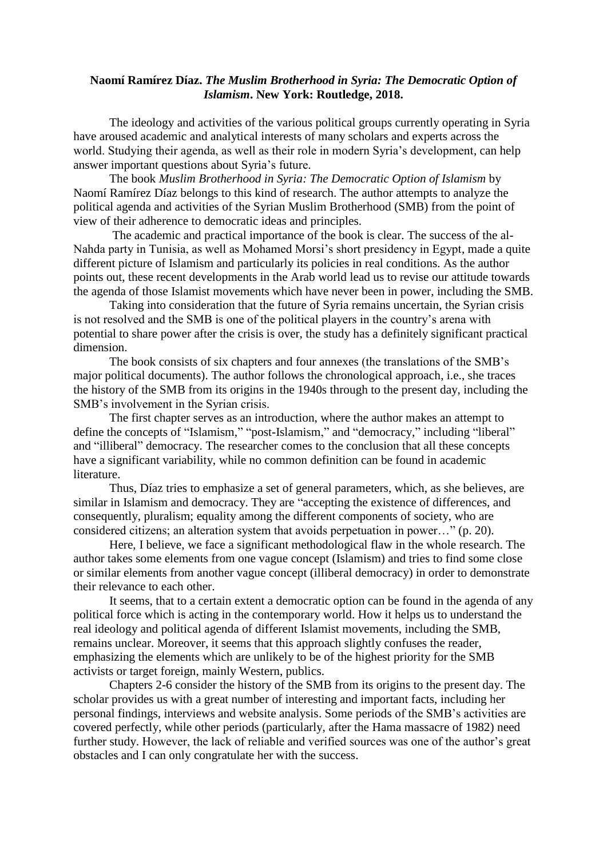## **Naomí Ramírez Díaz.** *The Muslim Brotherhood in Syria: The Democratic Option of Islamism***. New York: Routledge, 2018.**

The ideology and activities of the various political groups currently operating in Syria have aroused academic and analytical interests of many scholars and experts across the world. Studying their agenda, as well as their role in modern Syria's development, can help answer important questions about Syria's future.

The book *Muslim Brotherhood in Syria: The Democratic Option of Islamism* by Naomí Ramírez Díaz belongs to this kind of research. The author attempts to analyze the political agenda and activities of the Syrian Muslim Brotherhood (SMB) from the point of view of their adherence to democratic ideas and principles.

The academic and practical importance of the book is clear. The success of the al-Nahda party in Tunisia, as well as Mohamed Morsi's short presidency in Egypt, made a quite different picture of Islamism and particularly its policies in real conditions. As the author points out, these recent developments in the Arab world lead us to revise our attitude towards the agenda of those Islamist movements which have never been in power, including the SMB.

Taking into consideration that the future of Syria remains uncertain, the Syrian crisis is not resolved and the SMB is one of the political players in the country's arena with potential to share power after the crisis is over, the study has a definitely significant practical dimension.

The book consists of six chapters and four annexes (the translations of the SMB's major political documents). The author follows the chronological approach, i.e., she traces the history of the SMB from its origins in the 1940s through to the present day, including the SMB's involvement in the Syrian crisis.

The first chapter serves as an introduction, where the author makes an attempt to define the concepts of "Islamism," "post-Islamism," and "democracy," including "liberal" and "illiberal" democracy. The researcher comes to the conclusion that all these concepts have a significant variability, while no common definition can be found in academic literature.

Thus, Díaz tries to emphasize a set of general parameters, which, as she believes, are similar in Islamism and democracy. They are "accepting the existence of differences, and consequently, pluralism; equality among the different components of society, who are considered citizens; an alteration system that avoids perpetuation in power…" (p. 20).

Here, I believe, we face a significant methodological flaw in the whole research. The author takes some elements from one vague concept (Islamism) and tries to find some close or similar elements from another vague concept (illiberal democracy) in order to demonstrate their relevance to each other.

It seems, that to a certain extent a democratic option can be found in the agenda of any political force which is acting in the contemporary world. How it helps us to understand the real ideology and political agenda of different Islamist movements, including the SMB, remains unclear. Moreover, it seems that this approach slightly confuses the reader, emphasizing the elements which are unlikely to be of the highest priority for the SMB activists or target foreign, mainly Western, publics.

Chapters 2-6 consider the history of the SMB from its origins to the present day. The scholar provides us with a great number of interesting and important facts, including her personal findings, interviews and website analysis. Some periods of the SMB's activities are covered perfectly, while other periods (particularly, after the Hama massacre of 1982) need further study. However, the lack of reliable and verified sources was one of the author's great obstacles and I can only congratulate her with the success.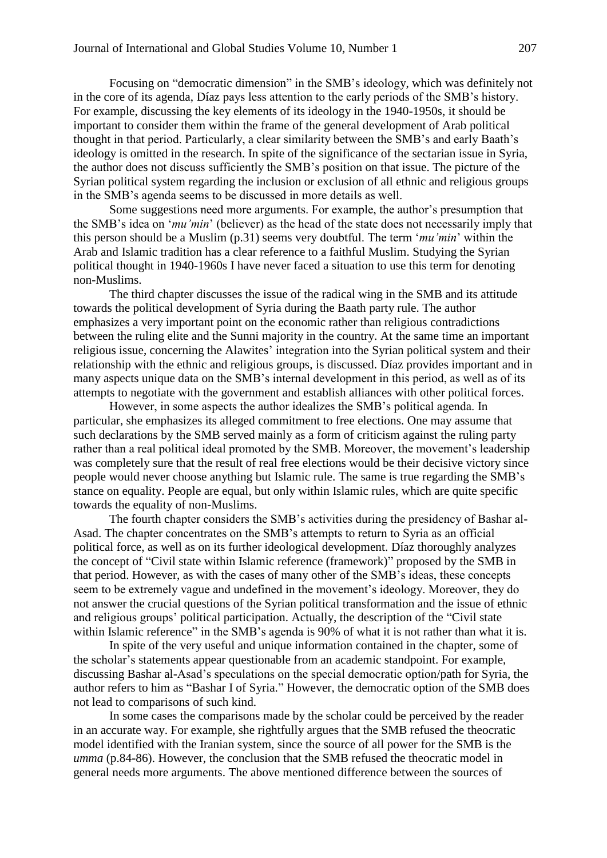Focusing on "democratic dimension" in the SMB's ideology, which was definitely not in the core of its agenda, Díaz pays less attention to the early periods of the SMB's history. For example, discussing the key elements of its ideology in the 1940-1950s, it should be important to consider them within the frame of the general development of Arab political thought in that period. Particularly, a clear similarity between the SMB's and early Baath's ideology is omitted in the research. In spite of the significance of the sectarian issue in Syria, the author does not discuss sufficiently the SMB's position on that issue. The picture of the Syrian political system regarding the inclusion or exclusion of all ethnic and religious groups in the SMB's agenda seems to be discussed in more details as well.

Some suggestions need more arguments. For example, the author's presumption that the SMB's idea on '*mu'min*' (believer) as the head of the state does not necessarily imply that this person should be a Muslim (p.31) seems very doubtful. The term '*mu'min*' within the Arab and Islamic tradition has a clear reference to a faithful Muslim. Studying the Syrian political thought in 1940-1960s I have never faced a situation to use this term for denoting non-Muslims.

The third chapter discusses the issue of the radical wing in the SMB and its attitude towards the political development of Syria during the Baath party rule. The author emphasizes a very important point on the economic rather than religious contradictions between the ruling elite and the Sunni majority in the country. At the same time an important religious issue, concerning the Alawites' integration into the Syrian political system and their relationship with the ethnic and religious groups, is discussed. Díaz provides important and in many aspects unique data on the SMB's internal development in this period, as well as of its attempts to negotiate with the government and establish alliances with other political forces.

However, in some aspects the author idealizes the SMB's political agenda. In particular, she emphasizes its alleged commitment to free elections. One may assume that such declarations by the SMB served mainly as a form of criticism against the ruling party rather than a real political ideal promoted by the SMB. Moreover, the movement's leadership was completely sure that the result of real free elections would be their decisive victory since people would never choose anything but Islamic rule. The same is true regarding the SMB's stance on equality. People are equal, but only within Islamic rules, which are quite specific towards the equality of non-Muslims.

The fourth chapter considers the SMB's activities during the presidency of Bashar al-Asad. The chapter concentrates on the SMB's attempts to return to Syria as an official political force, as well as on its further ideological development. Díaz thoroughly analyzes the concept of "Civil state within Islamic reference (framework)" proposed by the SMB in that period. However, as with the cases of many other of the SMB's ideas, these concepts seem to be extremely vague and undefined in the movement's ideology. Moreover, they do not answer the crucial questions of the Syrian political transformation and the issue of ethnic and religious groups' political participation. Actually, the description of the "Civil state within Islamic reference" in the SMB's agenda is 90% of what it is not rather than what it is.

In spite of the very useful and unique information contained in the chapter, some of the scholar's statements appear questionable from an academic standpoint. For example, discussing Bashar al-Asad's speculations on the special democratic option/path for Syria, the author refers to him as "Bashar I of Syria." However, the democratic option of the SMB does not lead to comparisons of such kind.

In some cases the comparisons made by the scholar could be perceived by the reader in an accurate way. For example, she rightfully argues that the SMB refused the theocratic model identified with the Iranian system, since the source of all power for the SMB is the *umma* (p.84-86). However, the conclusion that the SMB refused the theocratic model in general needs more arguments. The above mentioned difference between the sources of